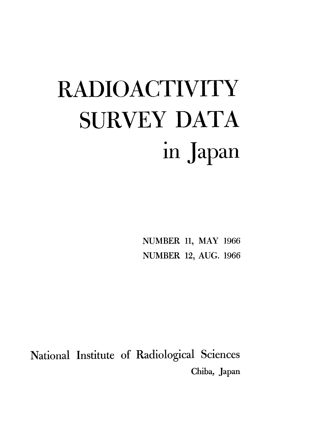# **RADIOACTIVITY** SURVEY DATA in Japan

NUMBER 11, MAY 1966 **NUMBER 12, AUG. 1966** 

National Institute of Radiological Sciences Chiba, Japan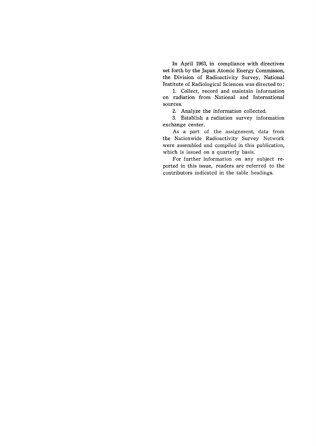In April 1963, in compliance with directives set forth by the Japan Atomic Energy Commisson, the Division of Radioactivity Survey, National Institute of Radiological Sciences was directed to:

1. Collect, record and maintain information on radiation from National and International sources.

2. Analyze the information collected.

3. Establish a radiation survey information exchange center.

As a part of the assignment, data from the Nationwide Radioactivity Survey Network were assembled and compiled in this publication, which is issued on a quarterly basis.

For further information on any subject reported in this issue, readers are referred to the contributors indicated in the table headings.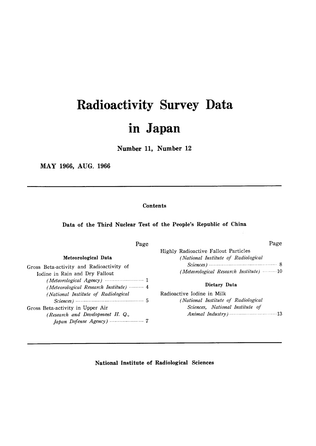# Radioactivity Survey Data in Japan

Number 11, Number 12

MAY 1966, AUG. 1966

#### Contents

### Data of the Third Nuclear Test of the People's Republic of China

| Page                                                                       | Page                                                                               |
|----------------------------------------------------------------------------|------------------------------------------------------------------------------------|
| Meteorological Data                                                        | <b>Highly Radioactive Fallout Particles</b><br>(National Institute of Radiological |
| Gross Beta-activity and Radioactivity of<br>Iodine in Rain and Dry Fallout | (Meteorological Research Institute) $\cdots \cdots \cdots 10$                      |
| (Meteorological Research Institute)  4                                     | Dietary Data                                                                       |
| (National Institute of Radiological                                        | Radioactive Iodine in Milk                                                         |
|                                                                            | (National Institute of Radiological                                                |
| Gross Beta-activity in Upper Air                                           | Sciences, National Institute of                                                    |
| (Research and Development H. Q.,                                           |                                                                                    |
|                                                                            |                                                                                    |

#### National Institute of Radiological Sciences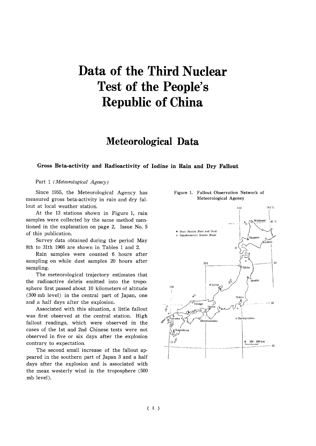# Data of the Third Nuclear Test of the People's **Republic of China**

## Meteorological Data

#### Gross Beta-activity and Radioactivity of Iodine in Rain and Dry Fallout

#### Part 1 (Meteorological Agency)

Since 1955, the Meteorological Agency has measured gross beta-activity in rain and dry fallout at local weather station.

At the 13 stations shown in Figure 1, rain samples were collected by the same method mentioned in the explanation on page 2, Issue No. 5 of this publication.

Survey data obtained during the period May 8th to 31th 1966 are shown in Tables 1 and 2.

Rain samples were counted 6 hours after sampling on while dust samples 20 hours after sampling.

The meteorological trajectory estimates that the radioactive debris emitted into the troposphere first passed about 10 kilometers of altitude (300 mb level) in the central part of Japan, one and a half days after the explosion.

Associated with this situation, a little fallout was first observed at the central station. High fallout readings, which were observed in the cases of the 1st and 2nd Chinese tests were not observed in five or six days after the explosion contrary to expectation.

The second small increase of the fallout appeared in the southern part of Japan 3 and a half days after the explosion and is associated with the mean westerly wind in the troposphere (500 mb level).



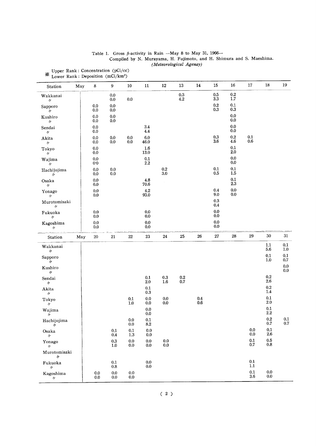| Table 1. Gross $\beta$ -activity in Rain -May 8 to May 31, 1966--     |  |
|-----------------------------------------------------------------------|--|
| Compiled by N. Murayama, H. Fujimoto, and H. Shimura and S. Maeshima. |  |
| (Meteorological Agenay)                                               |  |

|                                |     |                    |                      | ${\bf 10}$         | $11\,$             | 12                                        | 13                   | $14\,$         | 15                     | 16                   | 17                 | 18                   | $19\,$             |
|--------------------------------|-----|--------------------|----------------------|--------------------|--------------------|-------------------------------------------|----------------------|----------------|------------------------|----------------------|--------------------|----------------------|--------------------|
| Station                        | May | 8                  | 9                    |                    |                    |                                           |                      |                |                        |                      |                    |                      |                    |
| Wakkanai<br>$\prime\prime$     |     |                    | $0.0\,$<br>$0.0\,$   | $0.0\,$            |                    |                                           | $\rm 0.3$<br>$4.2\,$ |                | 0.5<br>$3.3\,$         | 0.2<br>$1.7\,$       |                    |                      |                    |
| Sapporo<br>$^{\prime\prime}$   |     | 0.0<br>0.0         | $0.0\,$<br>$0.0\,$   |                    |                    |                                           |                      |                | $\rm 0.2$<br>$\rm 0.3$ | $0.1\,$<br>$\rm 0.3$ |                    |                      |                    |
| Kushiro<br>$\prime\prime$      |     | $0.0\,$<br>$0.0\,$ | 0.0<br>$0.0\,$       |                    |                    |                                           |                      |                |                        | 0.0<br>0.0           |                    |                      |                    |
| Sendai<br>$\prime\prime$       |     | $0.0\,$<br>$0.0\,$ |                      |                    | $3.4\,$<br>$4.4\,$ |                                           |                      |                |                        | 0.0<br>0.0           |                    |                      |                    |
| Akita<br>$\prime\prime$        |     | 0.0<br>0.0         | $0.0\,$<br>$0.0\,$   | $0.0\,$<br>0.0     | $6.0\,$<br>46.0    |                                           |                      |                | $0.3\,$<br>3.6         | $\rm 0.2$<br>4.6     | 0.1<br>$0.6\,$     |                      |                    |
| Tokyo<br>$^{\prime\prime}$     |     | 0.0<br>$0.0\,$     |                      |                    | 1.6<br>$13.0\,$    |                                           |                      |                |                        | 0.1<br>2.0           |                    |                      |                    |
| Wajima<br>$^{\prime\prime}$    |     | $0.0\,$<br>0.0     |                      |                    | $0.1\,$<br>$2.2\,$ |                                           |                      |                |                        | 0.0<br>0.0           |                    |                      |                    |
| Hachijojima<br>$\prime\prime$  |     | $0.0\,$<br>0.0     | 0.0<br>$0.0\,$       |                    |                    | $0.2\,$<br>3.0                            |                      |                | $0.1\,$<br>0.5         | 0.1<br>$1.5\,$       |                    |                      |                    |
| Osaka<br>$^{\prime\prime}$     |     | $0.0\,$<br>$0.0\,$ |                      |                    | 4.8<br>70.6        | $\sim$                                    |                      |                |                        | 0.1<br>2.3           |                    |                      |                    |
| Yonago<br>$^{\prime\prime}$    |     | 0.0<br>$0.0\,$     |                      |                    | 4.2<br>93.0        |                                           |                      |                | 0.4<br>9.0             | 0.0<br>0.0           |                    |                      |                    |
| Murotomisaki<br>$\prime\prime$ |     |                    |                      |                    |                    |                                           |                      |                | $\rm 0.3$<br>$0.4\,$   |                      |                    |                      |                    |
| Fukuoka<br>$^{\prime\prime}$   |     | $0.0\,$<br>0.0     |                      |                    | $0.0\,$<br>0.0     |                                           |                      |                | 0.0<br>$0.0\,$         |                      |                    |                      |                    |
| Kagoshima<br>IJ                |     | 0.0<br>0.0         |                      |                    | 0.0<br>0.0         |                                           |                      |                | $0.0\,$<br>0.0         |                      |                    |                      |                    |
| Station                        | May | $20\,$             | 21                   | $22\,$             | $23\,$             | $24\,$                                    | $25\,$               | 26             | $\bf 27$               | 28                   | 29                 | $30\,$               | $31\,$             |
| Wakkanai<br>$\prime\prime$     |     |                    |                      |                    |                    |                                           |                      |                |                        |                      |                    | 1.1<br>5.6           | $0.1\,$<br>1.0     |
| Sapporo<br>$\prime\prime$      |     |                    |                      |                    |                    |                                           |                      |                |                        |                      |                    | $0.1\,$<br>1.0       | 0.1<br>0.7         |
| Kushiro<br>$^{\prime\prime}$   |     |                    |                      |                    |                    |                                           |                      |                |                        |                      |                    |                      | $0.0\,$<br>$0.0\,$ |
| Sendai<br>$^{\prime\prime}$    |     |                    |                      |                    | 0.1<br>$2.0\,$     | $\begin{array}{c} 0.3 \\ 1.6 \end{array}$ | $\rm 0.2$<br>$0.7\,$ |                |                        |                      |                    | $\rm 0.2$<br>$2.6\,$ |                    |
| Akita<br>$\prime\prime$        |     |                    |                      |                    | 0.1<br>0.3         |                                           |                      |                |                        |                      |                    | $\rm 0.2$<br>$1.4\,$ |                    |
| Tokyo<br>$^{\prime\prime}$     |     |                    |                      | $0.1\,$<br>$1.0\,$ | $0.0\,$<br>0.0     | $0.0\,$<br>0.0                            |                      | $0.4\,$<br>0.6 |                        |                      |                    | $0.1\,$<br>$2.0\,$   |                    |
| Wajima<br>$\prime\prime$       |     |                    |                      |                    | 0.0<br>0.0         |                                           |                      |                |                        |                      |                    | $0.1\,$<br>$2.2\,$   |                    |
| Hachijojima<br>n               |     |                    |                      | $0.0\,$<br>$0.0\,$ | 0.1<br>$\bf 8.2$   |                                           |                      |                |                        |                      |                    | 0.2<br>0.7           | 0.1<br>$0.7\,$     |
| Osaka<br>$\prime\prime$        |     |                    | $0.1\,$<br>$0.4\,$   | $0.1\,$<br>1.3     | $0.0\,$<br>$0.0\,$ |                                           |                      |                |                        |                      | $0.0\,$<br>0.0     | 0.1<br>2.6           |                    |
| Yonago<br>$^{\prime\prime}$    |     |                    | $\rm 0.3$<br>$1.0\,$ | $0.0\,$<br>0.0     | $0.0\,$<br>0.0     | $0.0\,$<br>0.0                            |                      |                |                        |                      | $0.1\,$<br>$0.7\,$ | $0.5\,$<br>$0.8\,$   |                    |
| Murotomisaki<br>n              |     |                    |                      |                    |                    |                                           |                      |                |                        |                      |                    |                      |                    |
| Fukuoka<br>$^{\prime\prime}$   |     |                    | $0.1\,$<br>$0.8\,$   |                    | $0.0\,$<br>0.0     |                                           |                      |                |                        |                      | 0.1<br>1.1         |                      |                    |
| Kagoshima<br>$\prime\prime$    |     | $0.0\,$<br>0.0     | $0.0\,$<br>$0.0\,$   | $0.0\,$<br>0.0     |                    |                                           |                      |                |                        |                      | $0.1\,$<br>$3.6\,$ | $0.0\,$<br>0.0       |                    |

 $\begin{split} \text{Upper Rank: Concentration (pCi/cc)}\\ \text{\text{\%} Lower Rank: Deposition (mCi/km²)} \end{split}$ 

 $(2)$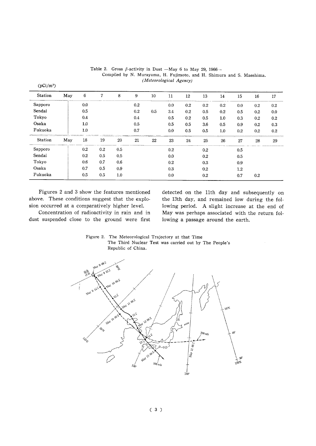| <b>Station</b> | May | 6   | 7   | 8   | 9       | 10  | 11  | 12  | 13  | 14  | 15  | 16      | 17      |
|----------------|-----|-----|-----|-----|---------|-----|-----|-----|-----|-----|-----|---------|---------|
| Sapporo        |     | 0.0 |     |     | $0.2\,$ |     | 0.0 | 0.2 | 0.2 | 0.2 | 0.0 | 0.2     | 0.2     |
| Sendai         |     | 0.5 |     |     | 0.2     | 0.5 | 3.4 | 0.2 | 0.5 | 0.2 | 0.5 | 0.2     | 0.0     |
| Tokyo          |     | 0.4 |     |     | 0.4     |     | 0.5 | 0.2 | 0.5 | 1.0 | 0.3 | $0.2\,$ | $0.2\,$ |
| Osaka          |     | 1.0 |     |     | 0.5     |     | 0.5 | 0.5 | 3.6 | 0.5 | 0.9 | 0.2     | 0.3     |
| Fukuoka        |     | 1.0 |     |     | 0.7     |     | 0.0 | 0.5 | 0.5 | 1.0 | 0.2 | 0.2     | 0.2     |
| Station        | May | 18  | 19  | 20  | 21      | 22  | 23  | 24  | 25  | 26  | 27  | 28      | 29      |
| Sapporo        |     | 0.2 | 0.2 | 0.5 |         |     | 0.2 |     | 0.2 |     | 0.5 |         |         |
| Sendai         |     | 0.2 | 0.5 | 0.5 |         |     | 0.0 |     | 0.2 |     | 0.5 |         |         |
| Tokyo          |     | 0.6 | 0.7 | 0.6 |         |     | 0.2 |     | 0.3 |     | 0.9 |         |         |
| Osaka          |     | 0.7 | 0.5 | 0.9 |         |     | 0.3 |     | 0.2 |     | 1.2 |         |         |
| Fukuoka        |     | 0.5 | 0.5 | 1.0 |         |     | 0.0 |     | 0.2 |     | 0.7 | 0.2     |         |

Table 2. Gross  $\beta$ -activity in Dust -May 6 to May 29, 1966--Compiled by N. Murayama, H. Fujimoto, and H. Shimura and S. Maeshima. (Meteorological Agency)

Figures 2 and 3 show the features mentioned above. These conditions suggest that the explosion occurred at a comparatively higher level.

 $(pCi/m^3)$ 

Concentration of radioactivity in rain and in dust suspended close to the ground were first

detected on the 11th day and subsequently on the 13th day, and remained low during the following period. A slight increase at the end of May was perhaps associated with the return following a passage around the earth.

Figure 2. The Meteorological Trajectory at that Time The Third Nuclear Test was carried out by The People's Republic of China.

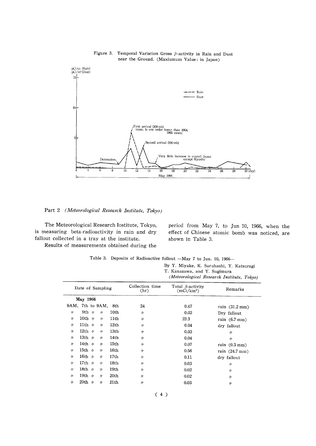

Figure 3. Temporal Variation Gross  $\beta$ -activity in Rain and Dust near the Ground. (Maxiumum Value: in Japan)

Part 2 (Meteorological Research Institute, Tokyo)

The Meteorological Research Iostitute, Tokyo, is measuring beta-radioactivity in rain and dry fallout collected in a tray at the institute.

Results of measurements obtained during the

period from May 7, to Jun 10, 1966, when the effect of Chinese atomic bomb was noticed, are shown in Table 3.

|  | Table 3. Deposits of Radioactive follout -May 7 to Jun. 10, 1966- |  |  |  |  |
|--|-------------------------------------------------------------------|--|--|--|--|
|  |                                                                   |  |  |  |  |

By Y. Miyake, K. Saruhashi, Y. Katsuragi

| T. Kanazawa, and Y. Sugimura                     |  |  |
|--------------------------------------------------|--|--|
| <i>(Motoorplagical Research Institute Tabua)</i> |  |  |

|                   |                  |  |                         |                                         | (meteorological Research Institute, 10Ryo) |      |                          |  |  |
|-------------------|------------------|--|-------------------------|-----------------------------------------|--------------------------------------------|------|--------------------------|--|--|
|                   | Date of Sampling |  | Collection time<br>(hr) | Total $\beta$ -activity<br>$(mCi/km^2)$ | Remarks                                    |      |                          |  |  |
|                   | May 1966         |  |                         |                                         |                                            |      |                          |  |  |
|                   | 9AM, 7th to 9AM. |  |                         | 8th                                     | 24                                         | 0.47 | rain $(31.2 \text{ mm})$ |  |  |
| $\prime$          | 9th $\nu$        |  | $^{\prime\prime}$       | 10th                                    | $\prime$                                   | 0.03 | Dry fallout              |  |  |
| $^{\prime\prime}$ | 10th $\nu$       |  | $\prime$                | 11th                                    | $\prime$                                   | 23.3 | rain $(6.7 \text{ mm})$  |  |  |
| $^{\prime\prime}$ | 11th $\nu$       |  | $^{\prime\prime}$       | 12th                                    | $\prime$                                   | 0.04 | dry fallout              |  |  |
| $^{\prime\prime}$ | 12th $\nu$       |  | $^{\prime\prime}$       | 13th                                    | $^{\prime\prime}$                          | 0.03 | $^{\prime\prime}$        |  |  |
| "                 | 13th $\nu$       |  | $\prime$                | 14th                                    | $\prime$                                   | 0.04 | $\prime$                 |  |  |
| "                 | 14th $\nu$       |  | $\prime$                | 15th                                    | $\prime$                                   | 0.07 | rain $(0.3 \text{ mm})$  |  |  |
| 11                | 15th $\nu$       |  | $^{\prime\prime}$       | 16th                                    | $^{\prime\prime}$                          | 0.56 | rain $(24.7 \text{ mm})$ |  |  |
| "                 | 16th $\nu$       |  | $^{\prime\prime}$       | 17th                                    | $\prime$                                   | 0.11 | dry fallout              |  |  |
| $^{\prime\prime}$ | 17th $\nu$       |  | $\prime$                | 18th                                    | $^{\prime\prime}$                          | 0.03 | $\prime$                 |  |  |
| $^{\prime\prime}$ | 18th $\nu$       |  | $\prime$                | 19th                                    | "                                          | 0.02 | $^{\prime\prime}$        |  |  |
| $^{\prime\prime}$ | 19th $\nu$       |  | $\prime$                | 20th                                    | $\prime$                                   | 0.02 | $\prime$                 |  |  |
| $^{\prime\prime}$ | 20th $\nu$       |  | $\prime$                | 21th                                    | 11                                         | 0.03 | $^{\prime\prime}$        |  |  |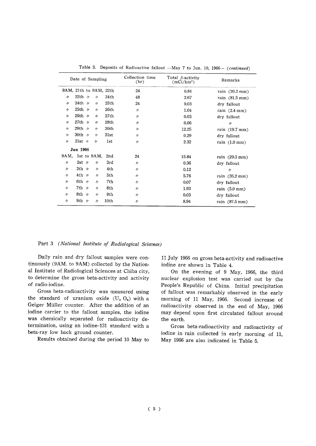|                   | Date of Sampling       |                   | Collection time<br>(hr) | Total $\beta$ -activity<br>$(mCi/km^2)$ | Remarks |                          |
|-------------------|------------------------|-------------------|-------------------------|-----------------------------------------|---------|--------------------------|
|                   | 9AM, 21th to 9AM, 22th |                   |                         | 24                                      | 0.84    | rain $(20.2 \text{ mm})$ |
| $^{\prime\prime}$ | 22th $\nu$             | $\prime$          | 24th                    | 48                                      | 2.67    | rain $(81.5 \text{ mm})$ |
| $\prime$          | 24th $\nu$             | $\prime$          | 25th                    | 24                                      | 0.03    | dry fallout              |
| $\prime$          | 25th $\nu$             | $\prime$          | 26th                    | $^{\prime\prime}$                       | 1.04    | rain $(2.4 \text{ mm})$  |
| $\prime$          | 26th $\nu$             | $\prime$          | 27th                    | $^{\prime\prime}$                       | 0.03    | dry fallout              |
| $\prime$          | $27th$ /               | $\prime$          | 28th                    | $\prime$                                | 0.06    | $\prime$                 |
| $^{\prime\prime}$ | 29th $\nu$             | $\prime$          | 30th                    | $^{\prime\prime}$                       | 12.25   | rain (19.7 mm)           |
| $^{\prime\prime}$ | 30th $\nu$             | $\prime$          | 31st                    | $^{\prime\prime}$                       | 0.29    | dry fallout              |
| $\prime$          | 31st $\nu$             | $\prime$          | lst                     | $\prime$                                | 2.32    | rain $(1.0 \text{ mm})$  |
|                   | Jun 1966               |                   |                         |                                         |         |                          |
| 9AM.              | 1st to 9AM,            |                   | 2nd                     | 24                                      | 15.84   | rain $(29.3 \text{ mm})$ |
| $^{\prime\prime}$ | $2st$ $\nu$            | $\prime$          | 3rd                     | $\prime$                                | 0.36    | dry fallout              |
| $\prime$          | 3th $\nu$              | $\prime$          | 4th                     | $^{\prime\prime}$                       | 0.12    | $^{\prime\prime}$        |
| $^{\prime\prime}$ | 4th $\nu$              | $\prime$          | 5th                     | $^{\prime\prime}$                       | 5.76    | rain $(35.2 \text{ mm})$ |
| $^{\prime\prime}$ | 6th $\nu$              | 〃                 | 7th                     | $^{\prime\prime}$                       | 0.07    | dry fallout              |
| $^{\prime\prime}$ | $7th$ $\nu$            | $\prime$          | 8th                     | $\prime$                                | 1.93    | rain $(5.0 \text{ mm})$  |
| $^{\prime\prime}$ | 8th $\nu$              | $\prime$          | 9th                     | $^{\prime\prime}$                       | 0.03    | dry fallout              |
| 11                | 9th $\nu$              | $^{\prime\prime}$ | 10th                    | $^{\prime\prime}$                       | 8.94    | rain (87.5 mm)           |

Table 3. Deposits of Radioactive fallout -May 7 to Jun. 10, 1966- (continued)

#### Part 3 (National Institute of Radiological Sciecnes)

Daily rain and dry fallout samples were continuously (9AM. to 9AM) collected by the National Institute of Radiological Sciences at Chiba city, to determine the gross beta-activity and activity Of radio-iodine.

Gross beta-radioactivity was measured using the standard of uranium oxide  $(U_3 O_8)$  with a Geiger Müller counter. After the addition of an iodine carrier to the fallout samples, the iodine was chemically separated for radioactivity determination, using an iodine-131 standard with a beta-ray low back ground counter.

Results obtained during the period 10 May to

11 July 1966 on gross beta-activity and radioactive iodine are shown in Table 4.

On the evening of 9 May, 1966, the third nuclear explosion test was carried out by the People's Republic of China. Initial precipitation of fallout was remarkably observed in the early morning of 11 May, 1966. Second increase of radioactivity observed in the end of May, 1966 may depend upon first circulated fallout around the earth.

Gross beta-radioactivity and radioactivity of iodine in rain collected in early morning of 11, May 1966 are also indicated in Table 5.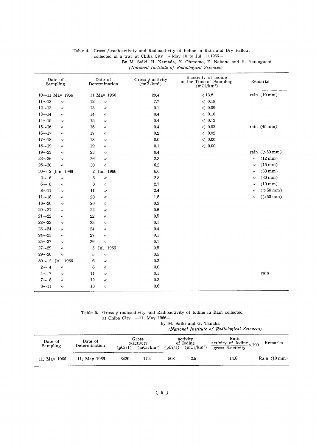| Date of<br>Sampling             | Date of<br>Determination | Gross $\beta$ -activity<br>$(mCi/km^2)$ | $\beta$ -activity of Iodine<br>at the Time of Sampling<br>$(mCi/km^2)$<br>contractors and a<br>$\cdots$ | Remarks                                |
|---------------------------------|--------------------------|-----------------------------------------|---------------------------------------------------------------------------------------------------------|----------------------------------------|
| $10{\sim}11$ May 1966           | 11 May 1966              | 29.4                                    | < 13.8                                                                                                  | rain $(10 \text{ mm})$                 |
| $11 - 12$<br>$\prime$           | 12<br>$\prime$           | 7.7                                     | < 0.18                                                                                                  |                                        |
| $12\mathtt{\sim}13$<br>$\prime$ | 13<br>$^{\prime\prime}$  | 0.1                                     | < 0.09                                                                                                  |                                        |
| $13 - 14$<br>$\prime$           | 14<br>$^{\prime\prime}$  | $\rm 0.4$                               | $<\,0.10$                                                                                               |                                        |
| $14 - 15$<br>$^{\prime\prime}$  | 15<br>$\prime$           | 0.4                                     | < 0.12                                                                                                  |                                        |
| $15 - 16$<br>$^{\prime\prime}$  | 16<br>$^{\prime\prime}$  | 0.4                                     | < 0.03                                                                                                  | rain (45 mm)                           |
| $16 - 17$<br>n                  | 17<br>$^{\prime\prime}$  | 0.2                                     | < 0.02                                                                                                  |                                        |
| $17 - 18$<br>$^{\prime\prime}$  | 18<br>$\prime$           | 0.0                                     | < 0.00                                                                                                  |                                        |
| $18 - 19$<br>$\prime$           | 19<br>$\prime$           | 0.1                                     | $<\,0.00$                                                                                               |                                        |
| $19 - 23$<br>$\prime$           | 23<br>$\prime$           | 0.4                                     |                                                                                                         | rain $(50 \text{ mm})$                 |
| $23 - 26$<br>$^{\prime\prime}$  | 26<br>$\prime$           | $2.3\,$                                 |                                                                                                         | $(12 \text{ mm})$<br>$^{\prime\prime}$ |
| $26 - 30$<br>$\prime$           | 30<br>$^{\prime\prime}$  | 6.2                                     |                                                                                                         | $(15 \text{ mm})$<br>$^{\prime\prime}$ |
| $30 \sim 2$ Jun 1966            | 2 Jun 1966               | 6.6                                     |                                                                                                         | $(30 \text{ mm})$<br>11                |
| $2 \sim 6$<br>$\prime\prime$    | 6<br>$\prime\prime$      | $2.8\,$                                 |                                                                                                         | $(30 \text{ mm})$<br>$\prime$          |
| $6 - 8$<br>$\prime$             | 8<br>$^{\prime\prime}$   | $2.7\,$                                 |                                                                                                         | $(10 \text{ mm})$<br>$\prime$          |
| $8 - 11$<br>$^{\prime\prime}$   | 11<br>$\prime$           | 2.4                                     |                                                                                                         | $($ >50 mm $)$<br>11                   |
| $11 - 18$<br>$^{\prime\prime}$  | 20<br>$^{\prime\prime}$  | 1.8                                     |                                                                                                         | $($ >50 mm $)$<br>11                   |
| $18 - 20$<br>"                  | 20<br>$\prime$           | 0.3                                     |                                                                                                         |                                        |
| $20 - 21$<br>$\prime$           | 22<br>$^{\prime\prime}$  | 0.6                                     |                                                                                                         |                                        |
| $21 - 22$<br>$^{\prime\prime}$  | 22<br>$^{\prime\prime}$  | 0.5                                     |                                                                                                         |                                        |
| $22 - 23$<br>11                 | 23<br>$\prime$           | 0.1                                     |                                                                                                         |                                        |
| $23 - 24$<br>$\prime$           | 24<br>$\prime$           | 0.4                                     |                                                                                                         |                                        |
| $24 - 25$<br>$^{\prime\prime}$  | 27<br>$\prime$           | 0.1                                     |                                                                                                         |                                        |
| $25 - 27$<br>11                 | 29<br>$\prime\prime$     | 0.1                                     |                                                                                                         |                                        |
| $27 - 29$<br>$\prime$           | 5<br>Jul 1966            | 0.5                                     |                                                                                                         |                                        |
| $29 - 30$<br>$\prime$           | 5<br>$\prime$            | 0.5                                     |                                                                                                         |                                        |
| $30 \sim 2$ Jul 1966            | 6<br>$^{\prime\prime}$   | $0.3\,$                                 |                                                                                                         |                                        |
| $2 \sim 4$<br>$\prime$          | 6<br>$^{\prime\prime}$   | 0.0                                     |                                                                                                         |                                        |
| $4\sim7$<br>$^{\prime\prime}$   | 11<br>$^{\prime\prime}$  | 0.1                                     |                                                                                                         | rain                                   |
| $7 \sim 8$<br>$\prime$          | 12<br>$\prime$           | $\rm 0.3$                               |                                                                                                         |                                        |
| $8 - 11$<br>$^{\prime\prime}$   | 18<br>$\prime$           | 0.6                                     |                                                                                                         |                                        |

#### Table 4. Gross  $\beta$ -radioactivity and Radioactivity of Iodine in Rain and Dry Fallout collected in a tray at Chiba City  $-May$  10 to Jul. 11,1966-By M. Saiki, H. Kamada, Y. Ohmomo, E. Nakano and H. Yamaguchi (National Institute of Radiological Sciences)

Table 5. Gross  $\beta$ -radioactivity and Radioactivity of Iodine in Rain collected at Chiba City --11, May 1966- $by$ 

|  |  | M. Saiki and G. Tanaka |
|--|--|------------------------|
|  |  |                        |

(National Institute of Radiological Sciences)

| Date of<br>Sampling | Date of<br>Determination | $\text{D}\text{Ci}/\text{1}$ | Gross<br>$\beta$ -activity<br>$(mCi/km^2)$ | (pCi/1) | activity<br>of Iodine<br>$(mCi/km^2)$ | Ratio<br>$\frac{\text{activity of Iodine}}{\text{gross }\beta\text{-activity}} \times 100$ | Remarks                |
|---------------------|--------------------------|------------------------------|--------------------------------------------|---------|---------------------------------------|--------------------------------------------------------------------------------------------|------------------------|
| 11, May 1966        | 11, May 1966             | 3420                         | 17.4                                       | 508     | 2.5                                   | 14.6                                                                                       | Rain $(10 \text{ mm})$ |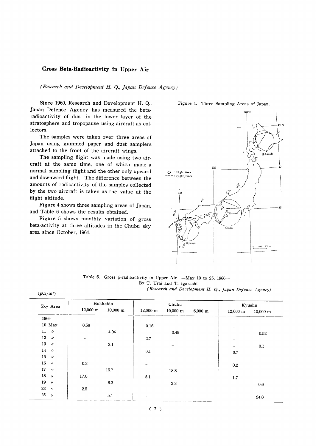#### Gross Beta-Radioactivity in Upper Air

(Research and Development H. Q., Japan Defense Agency)

Since 1960, Research and Development H. Q., Japan Defense Agency has measured the betaradioactivity of dust in the lower layer of the stratosphere and tropopause using aircraft as collectors.

The samples were taken over three areas of Japan using gummed paper and dust samplers attached to the front of the aircraft wings.

The sampling flight was made using two aircraft at the same time, one of which made a normal sampling flight and the other only upward and downward flight. The difference between the amounts of radioactivity of the samples collected by the two aircraft is taken as the value at the flight altitude.

Figure 4 shows three sampling areas of Japan, and Table 6 shows the results obtained.

Figure 5 shows monthly variation of gross beta-activity at three altitudes in the Chubu sky area since October, 1964.

#### Figure 4. Three Sampling Areas of Japan.



Table 6. Gross  $\beta$ -radioactivity in Upper Air -May 10 to 25, 1966-By T. Urai and T. Igarashi (Research and Development H. Q., Japan Defense Agency)

| Sky Area     | Hokkaido                                     |                    | Chubu              |                       | Kyushu                 |                    |
|--------------|----------------------------------------------|--------------------|--------------------|-----------------------|------------------------|--------------------|
|              | $12,000 \; \mathrm{m}$<br>$10,000 \text{ m}$ | $12,000 \text{ m}$ | $10,000 \text{ m}$ | $6,000 \; \mathrm{m}$ | $12,000 \; \mathrm{m}$ | $10,000 \text{ m}$ |
| 1966         |                                              |                    |                    |                       |                        |                    |
| 10 May       | 0.58                                         | 0.16               |                    |                       |                        |                    |
| $11 \nu$     | 4.04                                         |                    | 0.49               |                       |                        | 0.52               |
| $12 \nu$     |                                              | $2.7\,$            |                    |                       |                        |                    |
| $13-\nu$     | 3.1                                          |                    |                    |                       |                        | 0.1                |
| 14 $\nu$     |                                              | 0.1                |                    |                       | 0.7                    |                    |
| $15 \nu$     |                                              |                    |                    |                       |                        |                    |
| $16\,$<br>A) | 0.3                                          |                    |                    |                       | 0.2                    |                    |
| $17 \nu$     | 15.7                                         |                    | 18.8               |                       |                        |                    |
| 18 $\nu$     | 17.0                                         | 5.1                |                    |                       | $1.7\,$                |                    |
| $19$ $\nu$   | 6.3                                          |                    | $3.3\,$            |                       |                        | 0.6                |
| $23 - y$     | 2.5                                          |                    |                    |                       |                        | -                  |
| $25 - y$     | 5.1                                          | $\sim$             |                    |                       |                        | 24.0               |

 $(7)$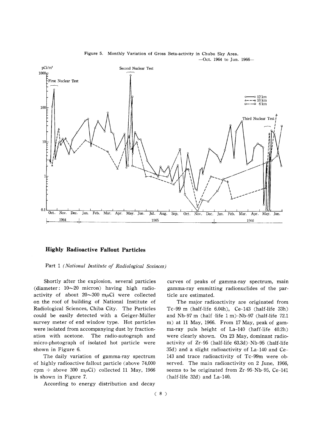

Figure 5. Monthly Variation of Gross Beta-activity in Chubu Sky Area.  $-$ Oct. 1964 to Jun. 1966 $-$ 

#### **Highly Radioactive Fallout Particles**

Part 1 (National Institute of Radiological Sceinces)

Shortly after the explosion, several particles (diameter:  $10\sim20$  micron) having high radioactivity of about  $20 \sim 300$  m $\mu$ Ci were collected on the roof of building of National Institute of Radiological Sciences, Chiba City. The Particles could be easily detected with a Geiger-Müller survey meter of end window type. Hot particles were isolated from accompanying dust by fractionation with acetone. The radio-autograph and micro-photograph of isolated hot particle were shown in Figure 6.

The daily variation of gamma-ray spectrum of highly radioactive fallout particle (above 74,000 cpm  $\div$  above 300 m $\mu$ Ci) collected 11 May, 1966 is shown in Figure 7.

According to energy distribution and decay

curves of peaks of gamma-ray spectrum, main gamma-ray emmitting radionuclides of the particle are estimated.

The major radioactivity are originated from Tc-99 m (half-life 6.04h), Ce-143 (half-life 33h) and Nb-97 m (half life 1 m)-Nb-97 (half-life 72.1 m) at 11 May, 1966. From 17 May, peak of gamma-ray puls height of La-140 (haff-life 40.2h) were clearly shown. On 23 May, dominant radioactivity of Zr-95 (half-life 63.3d)-Nb-95 (half-life 35d) and a slight radioactivity of La-140 and Ce-143 and trace radioactivity of Tc-99m were observed. The main radioactivity on 2 June, 1966. seems to be originated from Zr-95-Nb-95, Ce-141 (half-life 32d) and La-140.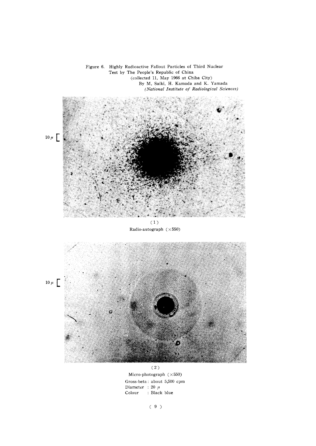

 $(2)$ Micro-photograph  $(\times 550)$ Gross-beta: about 5,500 cpm Diameter : 20  $\mu$ Colour : Black blue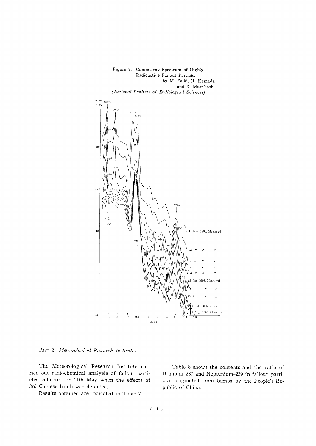

Part 2 (Meteorological Research Institute)

The Meteorological Research Institute carried out radiochemical analysis of fallout particles collected on 11th May when the effects of 3rd Chinese bomb was detected.

Results obtained are indicated in Table 7.

Table 8 shows the contents and the ratio of Uranium-237 and Neptunium-239 in fallout particles originated from bombs by the People's Republic of China.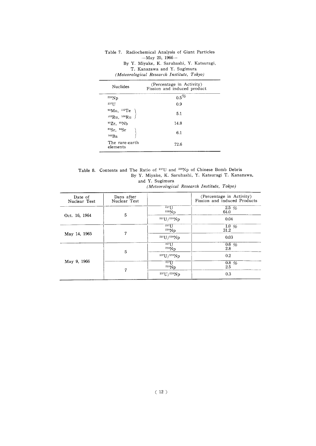| Nuclides                                                        | (Percentage in Activity)<br>Fission and induced product |
|-----------------------------------------------------------------|---------------------------------------------------------|
| 239Np                                                           | $0.5\%$                                                 |
| 237 <sub>IJ</sub>                                               | 0.9                                                     |
| 99Mo, <sup>132</sup> Te<br><sup>103</sup> Ru, <sup>106</sup> Ru | 5.1                                                     |
| 95Zr. 95Nb                                                      | 14.8                                                    |
| 89Sr, 99Sr<br>$140$ Ba                                          | 6.1                                                     |
| The rare-earth<br>elements                                      | 72.6                                                    |

Table 7. Radiochemical Analysis of Giant Particles  $-May$  25, 1966-By Y. Miyake, K. Saruhashi, Y. Katsuragi, T. Kanazawa and Y. Sugimura (Meteorological Research Institute, Tokyo)

Table 8. Contents and The Ratio of <sup>237</sup>U and <sup>239</sup>Np of Chinese Bomb Debris<br>By Y. Miyake, K. Saruhashi, Y. Katsuragi T. Kanazawa, and Y. Sugimura (Meteorological Research Institute, Tokyo)

| Date of<br>Nuclear Test | Days after<br>Nuclear Test |                                                     | (Percentage in Activity)<br>Fission and induced Products |
|-------------------------|----------------------------|-----------------------------------------------------|----------------------------------------------------------|
| Oct. 16, 1964           | 5                          | $237$ []<br>239Np                                   | $2.5\%$<br>64.0                                          |
|                         |                            | 237 U / 239 Np                                      | 0.04                                                     |
| May 14, 1965            | 7                          | 237<br>239Np                                        | 1.0 $%$<br>31.2                                          |
|                         |                            | 237 U/239 Np                                        | 0.03                                                     |
| May 9, 1966             | 5                          | $237$ []<br>$^{239}$ Np                             | $0.6\%$<br>2.8                                           |
|                         |                            | $237 \frac{\mathrm{U}}{\mathrm{2}} 339 \mathrm{Np}$ | 0.2                                                      |
|                         | 7                          | 237<br>239Np                                        | $0.8\%$<br>2.5                                           |
|                         |                            | 237 U / 239 Np                                      | 0.3                                                      |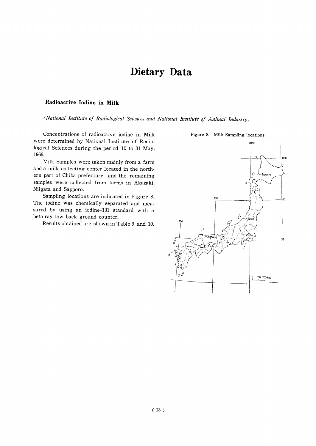# Dietary Data

#### Radioactive Iodine in Milk

(National Institute of Radiological Sciences and National Institute of Animal Industry)

Concentrations of radioactive iodine in Milk were determined by National Institute of Radiological Sciences during the period 10 to 31 May, 1966.

Milk Samples were taken mainly from a farm and a milk collecting center located in the northern part of Chiba prefecture, and the remaining samples were collected from farms in Akazaki, Niigata and Sapporo.

Sampling locations are indicated in Figure 8. The iodine was chemically separated and measured by using an iodine-131 standard with a beta-ray low back ground counter.

Results obtained are shown in Table 9 and 10.



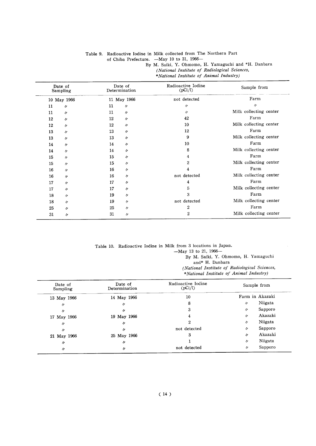#### Table 9. Radioactive Iodine in Milk collected from The Northern Part

of Chiba Prefecture. - May 10 to 31, 1966-

By M. Saiki, Y. Ohmomo, H. Yamaguchi and \*H. Danbara

(National Institute of Radiological Sciences,

\*National Institute of Animal Industry)

| Date of<br>Sampling     | Date of<br>Determination | Radioactive Iodine<br>(pCi/l) | Sample from            |
|-------------------------|--------------------------|-------------------------------|------------------------|
| 10 May 1966             | 11 May 1966              | not detected                  | Farm                   |
| 11<br>11                | 11<br>n                  | $^{\prime\prime}$             | $\prime$               |
| 11<br>$^{\prime\prime}$ | 11<br>$\prime$           | $^{\prime\prime}$             | Milk collecting center |
| 12<br>$^{\prime\prime}$ | 12<br>$^{\prime\prime}$  | 42                            | Farm                   |
| 12<br>$\prime$          | 12<br>$\prime$           | 10                            | Milk collecting center |
| 13<br>$^{\prime\prime}$ | 13<br>$\prime$           | 12                            | Farm                   |
| 13<br>$\prime$          | 13<br>$\prime$           | 9                             | Milk collecting center |
| 14<br>$^{\prime\prime}$ | 14<br>$^{\prime\prime}$  | 10                            | Farm                   |
| 14<br>$^{\prime\prime}$ | 14<br>$\prime$           | 8                             | Milk collecting center |
| 15<br>$^{\prime\prime}$ | 15<br>$^{\prime\prime}$  | 4                             | Farm                   |
| 15<br>$^{\prime\prime}$ | 15<br>$\prime$           | 2                             | Milk collecting center |
| 16<br>$\prime$          | 16<br>$\prime$           | 4                             | Farm                   |
| 16<br>$^{\prime\prime}$ | 16<br>$\prime$           | not detected                  | Milk collecting center |
| 17<br>$^{\prime\prime}$ | 17<br>$^{\prime\prime}$  | 4                             | Farm                   |
| 17<br>n                 | 17<br>$\prime$           | 5                             | Milk collecting center |
| 18<br>$^{\prime\prime}$ | 19<br>$^{\prime\prime}$  | 3                             | Farm                   |
| 18<br>$\prime$          | 19<br>$^{\prime\prime}$  | not detected                  | Milk collecting center |
| 25<br>11                | 25<br>$^{\prime\prime}$  | 2                             | Farm                   |
| 31<br>11                | 31<br>$^{\prime\prime}$  | 2                             | Milk collecting center |
|                         |                          |                               |                        |

Table 10. Radioactive Iodine in Milk from 3 locations in Japan.

-May 13 to 21, 1966-

By M. Saiki, Y. Ohmomo, H. Yamaguchi and\* H. Danbara (National Institute of Radiological Sciences,

\*National Institute of Animal Industry)

| Date of<br>Sampling | Date of<br>Determination | Radioactive Iodine<br>(pCi/l) | Sample from       |         |
|---------------------|--------------------------|-------------------------------|-------------------|---------|
| 13 May 1966         | 14 May 1966              | 10                            | Farm in Akazaki   |         |
| $^{\prime\prime}$   | IJ                       | 8                             | $^{\prime\prime}$ | Niigata |
| $^{\prime\prime}$   | n                        | 3                             | $^{\prime\prime}$ | Sapporo |
| 17 May 1966         | 19 May 1966              | 4                             | $^{\prime\prime}$ | Akazaki |
| IJ                  | n                        | 2                             | $\prime$          | Niigata |
| "                   | n                        | not detected                  | $^{\prime\prime}$ | Sapporo |
| 21 May 1966         | 25 May 1966              | 3                             | $^{\prime\prime}$ | Akazaki |
| $\prime$            | n                        |                               | $^{\prime\prime}$ | Niigata |
| $\prime$            | II                       | not detected                  | n                 | Sapporo |